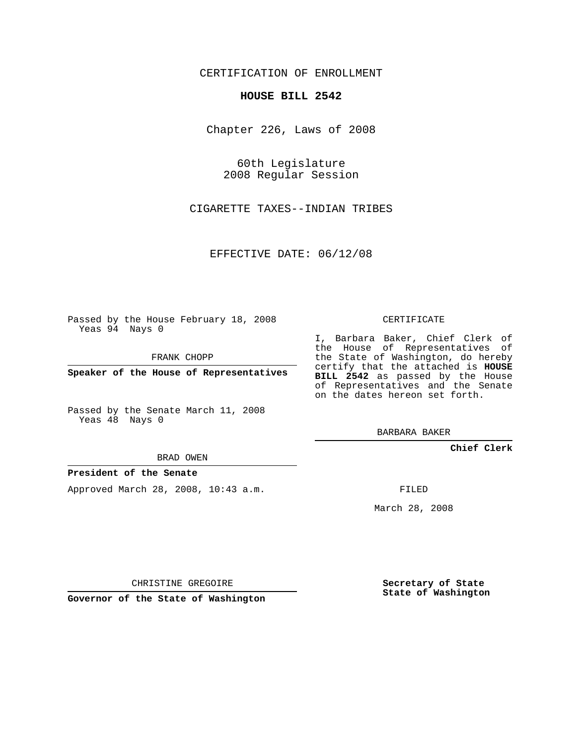CERTIFICATION OF ENROLLMENT

## **HOUSE BILL 2542**

Chapter 226, Laws of 2008

60th Legislature 2008 Regular Session

CIGARETTE TAXES--INDIAN TRIBES

EFFECTIVE DATE: 06/12/08

Passed by the House February 18, 2008 Yeas 94 Nays 0

FRANK CHOPP

**Speaker of the House of Representatives**

Passed by the Senate March 11, 2008 Yeas 48 Nays 0

BRAD OWEN

## **President of the Senate**

Approved March 28, 2008, 10:43 a.m.

CERTIFICATE

I, Barbara Baker, Chief Clerk of the House of Representatives of the State of Washington, do hereby certify that the attached is **HOUSE BILL 2542** as passed by the House of Representatives and the Senate on the dates hereon set forth.

BARBARA BAKER

**Chief Clerk**

FILED

March 28, 2008

CHRISTINE GREGOIRE

**Governor of the State of Washington**

**Secretary of State State of Washington**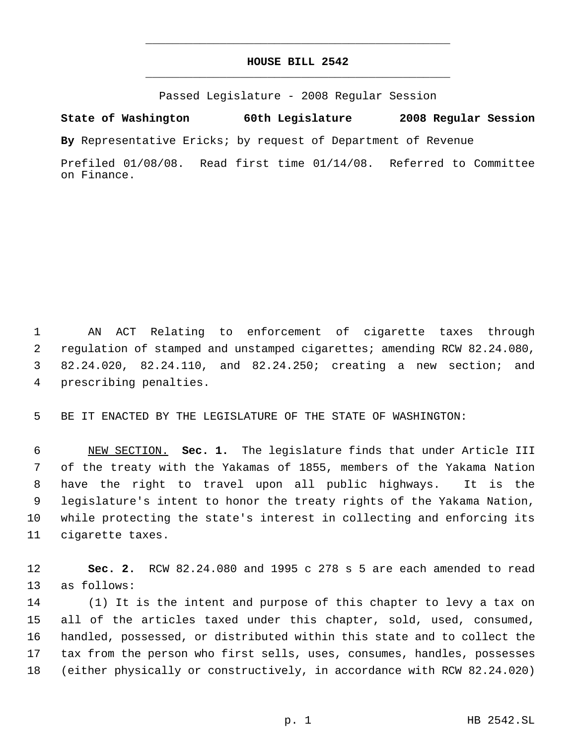## **HOUSE BILL 2542** \_\_\_\_\_\_\_\_\_\_\_\_\_\_\_\_\_\_\_\_\_\_\_\_\_\_\_\_\_\_\_\_\_\_\_\_\_\_\_\_\_\_\_\_\_

\_\_\_\_\_\_\_\_\_\_\_\_\_\_\_\_\_\_\_\_\_\_\_\_\_\_\_\_\_\_\_\_\_\_\_\_\_\_\_\_\_\_\_\_\_

Passed Legislature - 2008 Regular Session

**State of Washington 60th Legislature 2008 Regular Session**

**By** Representative Ericks; by request of Department of Revenue

Prefiled 01/08/08. Read first time 01/14/08. Referred to Committee on Finance.

 AN ACT Relating to enforcement of cigarette taxes through regulation of stamped and unstamped cigarettes; amending RCW 82.24.080, 82.24.020, 82.24.110, and 82.24.250; creating a new section; and prescribing penalties.

BE IT ENACTED BY THE LEGISLATURE OF THE STATE OF WASHINGTON:

 NEW SECTION. **Sec. 1.** The legislature finds that under Article III of the treaty with the Yakamas of 1855, members of the Yakama Nation have the right to travel upon all public highways. It is the legislature's intent to honor the treaty rights of the Yakama Nation, while protecting the state's interest in collecting and enforcing its cigarette taxes.

 **Sec. 2.** RCW 82.24.080 and 1995 c 278 s 5 are each amended to read as follows:

 (1) It is the intent and purpose of this chapter to levy a tax on all of the articles taxed under this chapter, sold, used, consumed, handled, possessed, or distributed within this state and to collect the tax from the person who first sells, uses, consumes, handles, possesses (either physically or constructively, in accordance with RCW 82.24.020)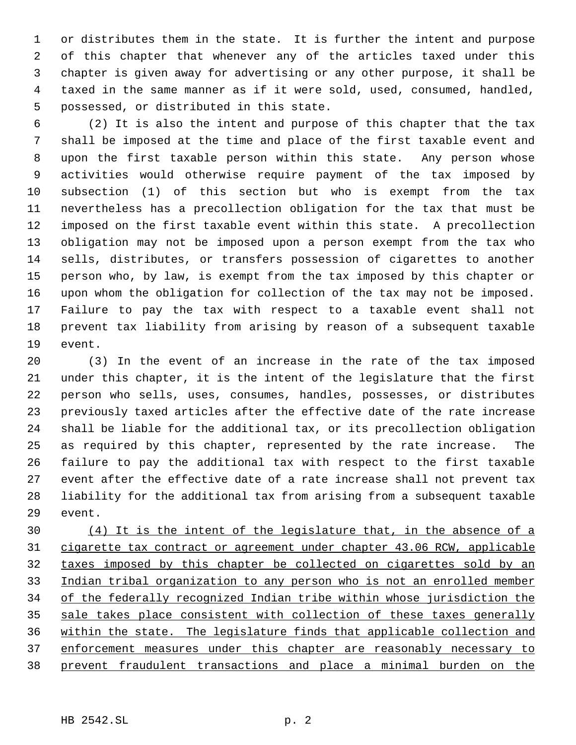or distributes them in the state. It is further the intent and purpose of this chapter that whenever any of the articles taxed under this chapter is given away for advertising or any other purpose, it shall be taxed in the same manner as if it were sold, used, consumed, handled, possessed, or distributed in this state.

 (2) It is also the intent and purpose of this chapter that the tax shall be imposed at the time and place of the first taxable event and upon the first taxable person within this state. Any person whose activities would otherwise require payment of the tax imposed by subsection (1) of this section but who is exempt from the tax nevertheless has a precollection obligation for the tax that must be imposed on the first taxable event within this state. A precollection obligation may not be imposed upon a person exempt from the tax who sells, distributes, or transfers possession of cigarettes to another person who, by law, is exempt from the tax imposed by this chapter or upon whom the obligation for collection of the tax may not be imposed. Failure to pay the tax with respect to a taxable event shall not prevent tax liability from arising by reason of a subsequent taxable event.

 (3) In the event of an increase in the rate of the tax imposed under this chapter, it is the intent of the legislature that the first person who sells, uses, consumes, handles, possesses, or distributes previously taxed articles after the effective date of the rate increase shall be liable for the additional tax, or its precollection obligation as required by this chapter, represented by the rate increase. The failure to pay the additional tax with respect to the first taxable event after the effective date of a rate increase shall not prevent tax liability for the additional tax from arising from a subsequent taxable event.

 (4) It is the intent of the legislature that, in the absence of a cigarette tax contract or agreement under chapter 43.06 RCW, applicable taxes imposed by this chapter be collected on cigarettes sold by an Indian tribal organization to any person who is not an enrolled member of the federally recognized Indian tribe within whose jurisdiction the 35 sale takes place consistent with collection of these taxes generally within the state. The legislature finds that applicable collection and enforcement measures under this chapter are reasonably necessary to prevent fraudulent transactions and place a minimal burden on the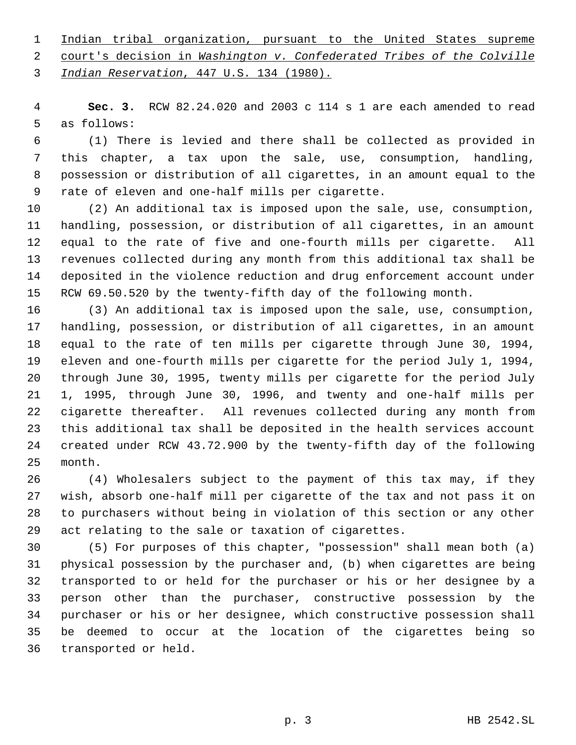1 Indian tribal organization, pursuant to the United States supreme

court's decision in *Washington v. Confederated Tribes of the Colville*

*Indian Reservation*, 447 U.S. 134 (1980).

 **Sec. 3.** RCW 82.24.020 and 2003 c 114 s 1 are each amended to read as follows:

 (1) There is levied and there shall be collected as provided in this chapter, a tax upon the sale, use, consumption, handling, possession or distribution of all cigarettes, in an amount equal to the rate of eleven and one-half mills per cigarette.

 (2) An additional tax is imposed upon the sale, use, consumption, handling, possession, or distribution of all cigarettes, in an amount equal to the rate of five and one-fourth mills per cigarette. All revenues collected during any month from this additional tax shall be deposited in the violence reduction and drug enforcement account under RCW 69.50.520 by the twenty-fifth day of the following month.

 (3) An additional tax is imposed upon the sale, use, consumption, handling, possession, or distribution of all cigarettes, in an amount equal to the rate of ten mills per cigarette through June 30, 1994, eleven and one-fourth mills per cigarette for the period July 1, 1994, through June 30, 1995, twenty mills per cigarette for the period July 1, 1995, through June 30, 1996, and twenty and one-half mills per cigarette thereafter. All revenues collected during any month from this additional tax shall be deposited in the health services account created under RCW 43.72.900 by the twenty-fifth day of the following month.

 (4) Wholesalers subject to the payment of this tax may, if they wish, absorb one-half mill per cigarette of the tax and not pass it on to purchasers without being in violation of this section or any other act relating to the sale or taxation of cigarettes.

 (5) For purposes of this chapter, "possession" shall mean both (a) physical possession by the purchaser and, (b) when cigarettes are being transported to or held for the purchaser or his or her designee by a person other than the purchaser, constructive possession by the purchaser or his or her designee, which constructive possession shall be deemed to occur at the location of the cigarettes being so transported or held.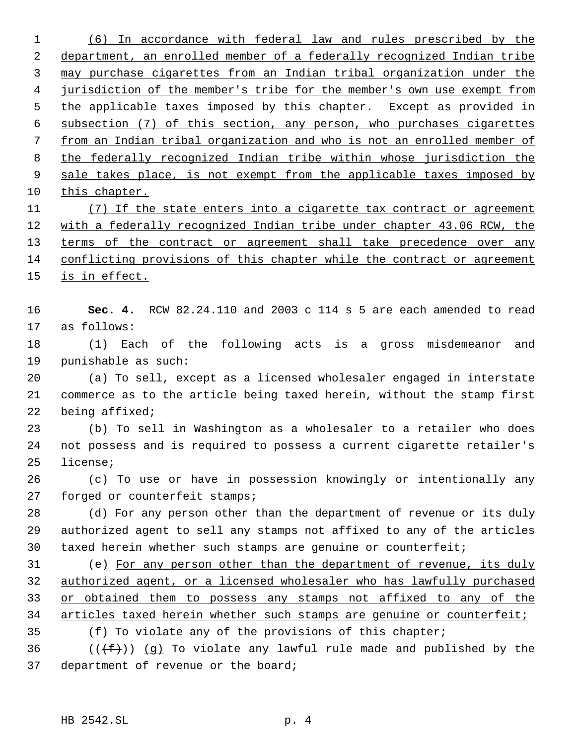(6) In accordance with federal law and rules prescribed by the department, an enrolled member of a federally recognized Indian tribe may purchase cigarettes from an Indian tribal organization under the jurisdiction of the member's tribe for the member's own use exempt from 5 the applicable taxes imposed by this chapter. Except as provided in subsection (7) of this section, any person, who purchases cigarettes from an Indian tribal organization and who is not an enrolled member of the federally recognized Indian tribe within whose jurisdiction the 9 sale takes place, is not exempt from the applicable taxes imposed by this chapter. (7) If the state enters into a cigarette tax contract or agreement with a federally recognized Indian tribe under chapter 43.06 RCW, the 13 terms of the contract or agreement shall take precedence over any conflicting provisions of this chapter while the contract or agreement 15 is in effect. **Sec. 4.** RCW 82.24.110 and 2003 c 114 s 5 are each amended to read as follows: (1) Each of the following acts is a gross misdemeanor and punishable as such: (a) To sell, except as a licensed wholesaler engaged in interstate commerce as to the article being taxed herein, without the stamp first being affixed; (b) To sell in Washington as a wholesaler to a retailer who does not possess and is required to possess a current cigarette retailer's license; (c) To use or have in possession knowingly or intentionally any forged or counterfeit stamps; (d) For any person other than the department of revenue or its duly authorized agent to sell any stamps not affixed to any of the articles taxed herein whether such stamps are genuine or counterfeit; (e) For any person other than the department of revenue, its duly authorized agent, or a licensed wholesaler who has lawfully purchased or obtained them to possess any stamps not affixed to any of the 34 articles taxed herein whether such stamps are genuine or counterfeit; (f) To violate any of the provisions of this chapter; 36 ( $(\overline{f})$ ) (g) To violate any lawful rule made and published by the department of revenue or the board;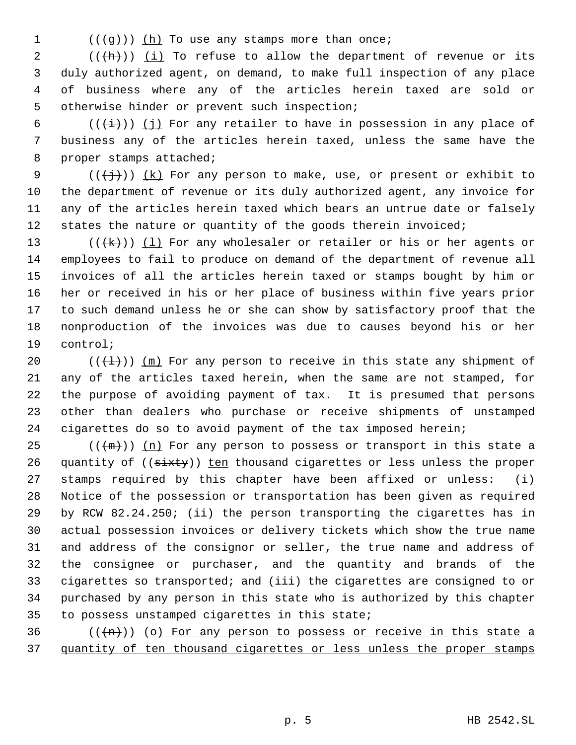1  $((\frac{1}{(g)}))$  (h) To use any stamps more than once;

 $((+h))$   $(i)$  To refuse to allow the department of revenue or its duly authorized agent, on demand, to make full inspection of any place of business where any of the articles herein taxed are sold or otherwise hinder or prevent such inspection;

6 ( $(\frac{1}{i})$ ) (j) For any retailer to have in possession in any place of business any of the articles herein taxed, unless the same have the proper stamps attached;

9 ( $(\{\dagger\})$ ) (k) For any person to make, use, or present or exhibit to the department of revenue or its duly authorized agent, any invoice for any of the articles herein taxed which bears an untrue date or falsely 12 states the nature or quantity of the goods therein invoiced;

13 ( $(\frac{1}{k})$ ) (1) For any wholesaler or retailer or his or her agents or employees to fail to produce on demand of the department of revenue all invoices of all the articles herein taxed or stamps bought by him or her or received in his or her place of business within five years prior to such demand unless he or she can show by satisfactory proof that the nonproduction of the invoices was due to causes beyond his or her control;

20 ( $(\{\pm\})$ )  $(m)$  For any person to receive in this state any shipment of any of the articles taxed herein, when the same are not stamped, for the purpose of avoiding payment of tax. It is presumed that persons other than dealers who purchase or receive shipments of unstamped cigarettes do so to avoid payment of the tax imposed herein;

 $((+m))$   $(n)$  For any person to possess or transport in this state a 26 quantity of ((sixty)) ten thousand cigarettes or less unless the proper stamps required by this chapter have been affixed or unless: (i) Notice of the possession or transportation has been given as required by RCW 82.24.250; (ii) the person transporting the cigarettes has in actual possession invoices or delivery tickets which show the true name and address of the consignor or seller, the true name and address of the consignee or purchaser, and the quantity and brands of the cigarettes so transported; and (iii) the cigarettes are consigned to or purchased by any person in this state who is authorized by this chapter to possess unstamped cigarettes in this state;

36 ( $(\overline{(n)})$  (o) For any person to possess or receive in this state a quantity of ten thousand cigarettes or less unless the proper stamps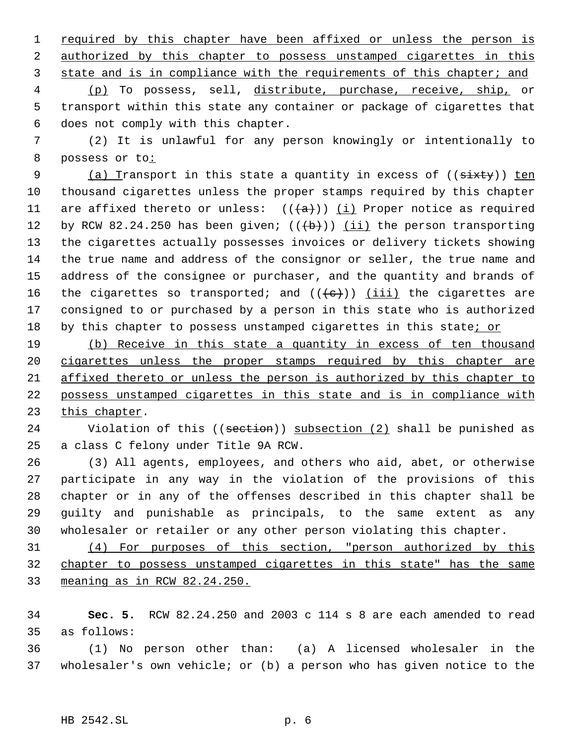1 required by this chapter have been affixed or unless the person is 2 authorized by this chapter to possess unstamped cigarettes in this 3 state and is in compliance with the requirements of this chapter; and

 (p) To possess, sell, distribute, purchase, receive, ship, or transport within this state any container or package of cigarettes that does not comply with this chapter.

 (2) It is unlawful for any person knowingly or intentionally to 8 possess or to:

9 (a) Transport in this state a quantity in excess of ((sixty)) ten thousand cigarettes unless the proper stamps required by this chapter 11 are affixed thereto or unless:  $((+a))$   $(i)$  Proper notice as required 12 by RCW 82.24.250 has been given;  $((+b))$   $(ii)$  the person transporting the cigarettes actually possesses invoices or delivery tickets showing the true name and address of the consignor or seller, the true name and address of the consignee or purchaser, and the quantity and brands of 16 the cigarettes so transported; and  $((e+))$  (iii) the cigarettes are consigned to or purchased by a person in this state who is authorized 18 by this chapter to possess unstamped cigarettes in this state; or

 (b) Receive in this state a quantity in excess of ten thousand 20 cigarettes unless the proper stamps required by this chapter are affixed thereto or unless the person is authorized by this chapter to possess unstamped cigarettes in this state and is in compliance with this chapter.

24 Violation of this ((section)) subsection (2) shall be punished as a class C felony under Title 9A RCW.

 (3) All agents, employees, and others who aid, abet, or otherwise participate in any way in the violation of the provisions of this chapter or in any of the offenses described in this chapter shall be guilty and punishable as principals, to the same extent as any wholesaler or retailer or any other person violating this chapter.

 (4) For purposes of this section, "person authorized by this chapter to possess unstamped cigarettes in this state" has the same meaning as in RCW 82.24.250.

 **Sec. 5.** RCW 82.24.250 and 2003 c 114 s 8 are each amended to read as follows:

 (1) No person other than: (a) A licensed wholesaler in the wholesaler's own vehicle; or (b) a person who has given notice to the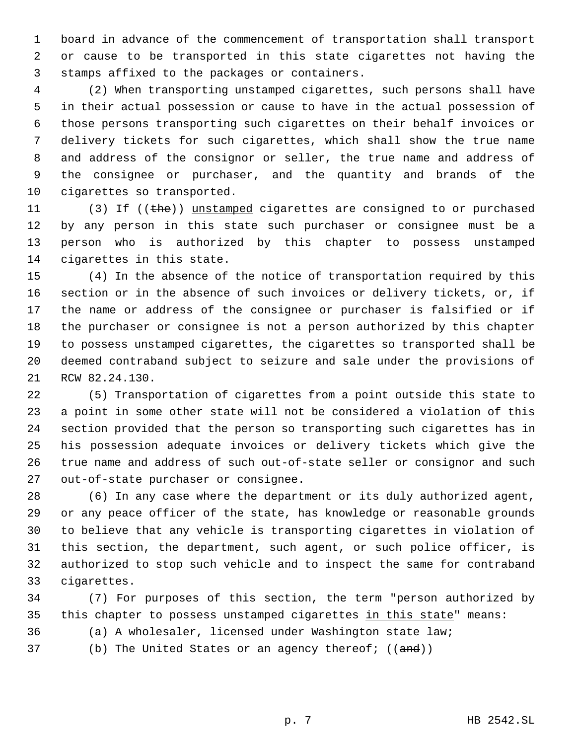board in advance of the commencement of transportation shall transport or cause to be transported in this state cigarettes not having the stamps affixed to the packages or containers.

 (2) When transporting unstamped cigarettes, such persons shall have in their actual possession or cause to have in the actual possession of those persons transporting such cigarettes on their behalf invoices or delivery tickets for such cigarettes, which shall show the true name and address of the consignor or seller, the true name and address of the consignee or purchaser, and the quantity and brands of the cigarettes so transported.

11 (3) If ((the)) unstamped cigarettes are consigned to or purchased by any person in this state such purchaser or consignee must be a person who is authorized by this chapter to possess unstamped cigarettes in this state.

 (4) In the absence of the notice of transportation required by this section or in the absence of such invoices or delivery tickets, or, if the name or address of the consignee or purchaser is falsified or if the purchaser or consignee is not a person authorized by this chapter to possess unstamped cigarettes, the cigarettes so transported shall be deemed contraband subject to seizure and sale under the provisions of RCW 82.24.130.

 (5) Transportation of cigarettes from a point outside this state to a point in some other state will not be considered a violation of this section provided that the person so transporting such cigarettes has in his possession adequate invoices or delivery tickets which give the true name and address of such out-of-state seller or consignor and such out-of-state purchaser or consignee.

 (6) In any case where the department or its duly authorized agent, or any peace officer of the state, has knowledge or reasonable grounds to believe that any vehicle is transporting cigarettes in violation of this section, the department, such agent, or such police officer, is authorized to stop such vehicle and to inspect the same for contraband cigarettes.

 (7) For purposes of this section, the term "person authorized by 35 this chapter to possess unstamped cigarettes in this state" means:

(a) A wholesaler, licensed under Washington state law;

37 (b) The United States or an agency thereof; ((and))